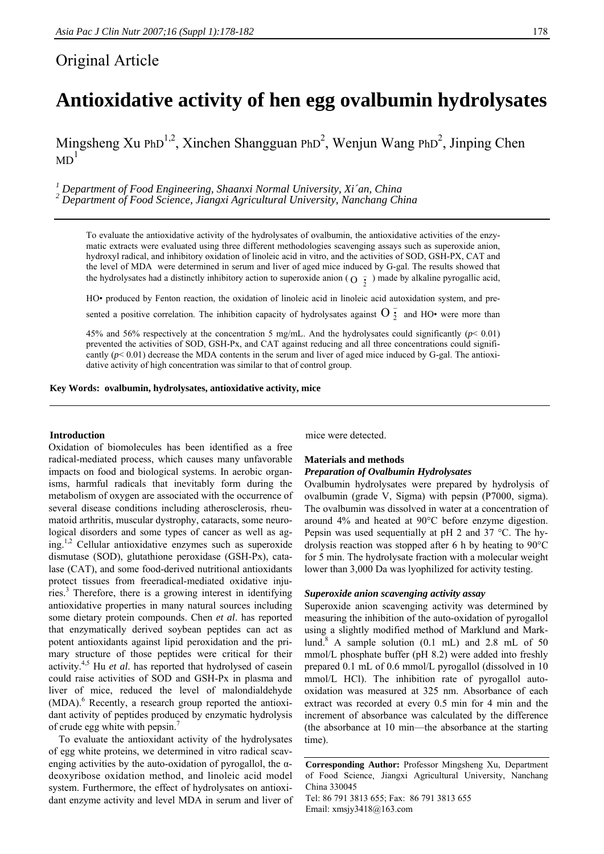# Original Article

Mingsheng Xu PhD<sup>1,2</sup>, Xinchen Shangguan PhD<sup>2</sup>, Wenjun Wang PhD<sup>2</sup>, Jinping Chen  $MD<sup>1</sup>$ 

<sup>1</sup> Department of Food Engineering, Shaanxi Normal University, Xi´an, China<br><sup>2</sup> Department of Food Science, Jiangxi Agricultural University, Nanchang China

To evaluate the antioxidative activity of the hydrolysates of ovalbumin, the antioxidative activities of the enzymatic extracts were evaluated using three different methodologies scavenging assays such as superoxide anion, hydroxyl radical, and inhibitory oxidation of linoleic acid in vitro, and the activities of SOD, GSH-PX, CAT and the level of MDA were determined in serum and liver of aged mice induced by G-gal. The results showed that the hydrolysates had a distinctly inhibitory action to superoxide anion ( $O\frac{1}{2}$ ) made by alkaline pyrogallic acid,

HO• produced by Fenton reaction, the oxidation of linoleic acid in linoleic acid autoxidation system, and pre-

sented a positive correlation. The inhibition capacity of hydrolysates against  $O_2^{\frac{1}{2}}$  and HO• were more than

45% and 56% respectively at the concentration 5 mg/mL. And the hydrolysates could significantly (*p*< 0.01) prevented the activities of SOD, GSH-Px, and CAT against reducing and all three concentrations could significantly  $(p< 0.01)$  decrease the MDA contents in the serum and liver of aged mice induced by G-gal. The antioxidative activity of high concentration was similar to that of control group.

**Key Words: ovalbumin, hydrolysates, antioxidative activity, mice** 

# **Introduction**

Oxidation of biomolecules has been identified as a free radical-mediated process, which causes many unfavorable impacts on food and biological systems. In aerobic organisms, harmful radicals that inevitably form during the metabolism of oxygen are associated with the occurrence of several disease conditions including atherosclerosis, rheumatoid arthritis, muscular dystrophy, cataracts, some neurological disorders and some types of cancer as well as aging.1,2 Cellular antioxidative enzymes such as superoxide dismutase (SOD), glutathione peroxidase (GSH-Px), catalase (CAT), and some food-derived nutritional antioxidants protect tissues from freeradical-mediated oxidative injuries.<sup>3</sup> Therefore, there is a growing interest in identifying antioxidative properties in many natural sources including some dietary protein compounds. Chen *et al*. has reported that enzymatically derived soybean peptides can act as potent antioxidants against lipid peroxidation and the primary structure of those peptides were critical for their activity.4,5 Hu *et al*. has reported that hydrolysed of casein could raise activities of SOD and GSH-Px in plasma and liver of mice, reduced the level of malondialdehyde (MDA).<sup>6</sup> Recently, a research group reported the antioxidant activity of peptides produced by enzymatic hydrolysis of crude egg white with pepsin.<sup>7</sup>

To evaluate the antioxidant activity of the hydrolysates of egg white proteins, we determined in vitro radical scavenging activities by the auto-oxidation of pyrogallol, the  $\alpha$ deoxyribose oxidation method, and linoleic acid model system. Furthermore, the effect of hydrolysates on antioxidant enzyme activity and level MDA in serum and liver of mice were detected.

# **Materials and methods**  *Preparation of Ovalbumin Hydrolysates*

Ovalbumin hydrolysates were prepared by hydrolysis of ovalbumin (grade V, Sigma) with pepsin (P7000, sigma). The ovalbumin was dissolved in water at a concentration of around 4% and heated at 90°C before enzyme digestion. Pepsin was used sequentially at pH 2 and 37 °C. The hydrolysis reaction was stopped after 6 h by heating to 90°C

for 5 min. The hydrolysate fraction with a molecular weight lower than 3,000 Da was lyophilized for activity testing.

# *Superoxide anion scavenging activity assay*

Superoxide anion scavenging activity was determined by measuring the inhibition of the auto-oxidation of pyrogallol using a slightly modified method of Marklund and Marklund.<sup>8</sup> A sample solution (0.1 mL) and 2.8 mL of 50 mmol/L phosphate buffer (pH 8.2) were added into freshly prepared 0.1 mL of 0.6 mmol/L pyrogallol (dissolved in 10 mmol/L HCl). The inhibition rate of pyrogallol autooxidation was measured at 325 nm. Absorbance of each extract was recorded at every 0.5 min for 4 min and the increment of absorbance was calculated by the difference (the absorbance at 10 min—the absorbance at the starting time).

**Corresponding Author:** Professor Mingsheng Xu, Department of Food Science, Jiangxi Agricultural University, Nanchang China 330045 Tel: 86 791 3813 655; Fax: 86 791 3813 655 Email: xmsjy3418@163.com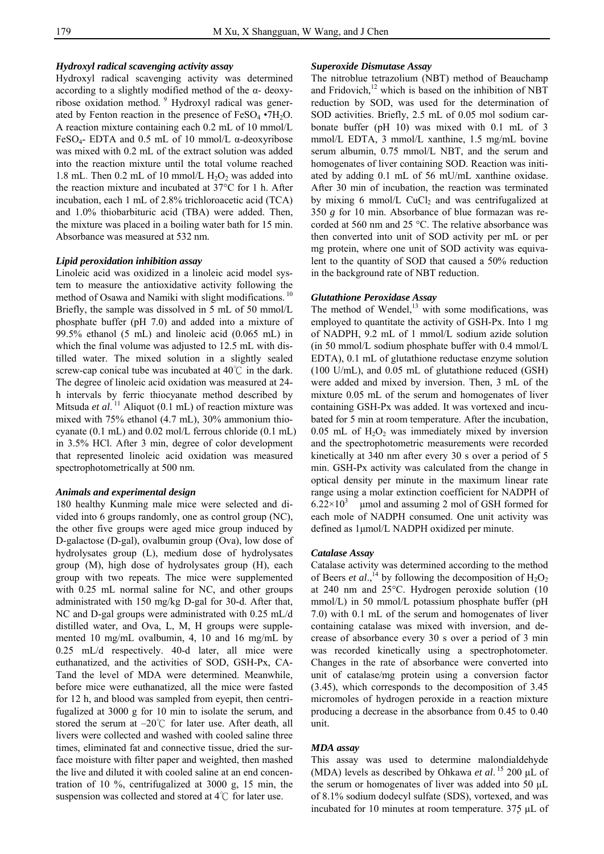# *Hydroxyl radical scavenging activity assay*

Hydroxyl radical scavenging activity was determined according to a slightly modified method of the α- deoxyribose oxidation method. 9 Hydroxyl radical was generated by Fenton reaction in the presence of  $FeSO<sub>4</sub> \cdot 7H<sub>2</sub>O$ . A reaction mixture containing each 0.2 mL of 10 mmol/L FeSO<sub>4</sub>- EDTA and 0.5 mL of 10 mmol/L  $\alpha$ -deoxyribose was mixed with 0.2 mL of the extract solution was added into the reaction mixture until the total volume reached 1.8 mL. Then  $0.2$  mL of 10 mmol/L  $H_2O_2$  was added into the reaction mixture and incubated at 37°C for 1 h. After incubation, each 1 mL of 2.8% trichloroacetic acid (TCA) and 1.0% thiobarbituric acid (TBA) were added. Then, the mixture was placed in a boiling water bath for 15 min. Absorbance was measured at 532 nm.

#### *Lipid peroxidation inhibition assay*

Linoleic acid was oxidized in a linoleic acid model system to measure the antioxidative activity following the method of Osawa and Namiki with slight modifications.<sup>10</sup> Briefly, the sample was dissolved in 5 mL of 50 mmol/L phosphate buffer (pH 7.0) and added into a mixture of 99.5% ethanol (5 mL) and linoleic acid (0.065 mL) in which the final volume was adjusted to 12.5 mL with distilled water. The mixed solution in a slightly sealed screw-cap conical tube was incubated at  $40^{\circ}$  in the dark. The degree of linoleic acid oxidation was measured at 24 h intervals by ferric thiocyanate method described by Mitsuda *et al.*<sup>11</sup> Aliquot (0.1 mL) of reaction mixture was mixed with 75% ethanol (4.7 mL), 30% ammonium thiocyanate (0.1 mL) and 0.02 mol/L ferrous chloride (0.1 mL) in 3.5% HCl. After 3 min, degree of color development that represented linoleic acid oxidation was measured spectrophotometrically at 500 nm.

# *Animals and experimental design*

180 healthy Kunming male mice were selected and divided into 6 groups randomly, one as control group (NC), the other five groups were aged mice group induced by D-galactose (D-gal), ovalbumin group (Ova), low dose of hydrolysates group (L), medium dose of hydrolysates group (M), high dose of hydrolysates group (H), each group with two repeats. The mice were supplemented with 0.25 mL normal saline for NC, and other groups administrated with 150 mg/kg D-gal for 30-d. After that, NC and D-gal groups were administrated with 0.25 mL/d distilled water, and Ova, L, M, H groups were supplemented 10 mg/mL ovalbumin, 4, 10 and 16 mg/mL by 0.25 mL/d respectively. 40-d later, all mice were euthanatized, and the activities of SOD, GSH-Px, CA-Tand the level of MDA were determined. Meanwhile, before mice were euthanatized, all the mice were fasted for 12 h, and blood was sampled from eyepit, then centrifugalized at 3000 g for 10 min to isolate the serum, and stored the serum at –20℃ for later use. After death, all livers were collected and washed with cooled saline three times, eliminated fat and connective tissue, dried the surface moisture with filter paper and weighted, then mashed the live and diluted it with cooled saline at an end concentration of 10 %, centrifugalized at 3000 g, 15 min, the suspension was collected and stored at 4℃ for later use.

#### *Superoxide Dismutase Assay*

The nitroblue tetrazolium (NBT) method of Beauchamp and Fridovich, $12$  which is based on the inhibition of NBT reduction by SOD, was used for the determination of SOD activities. Briefly, 2.5 mL of 0.05 mol sodium carbonate buffer (pH 10) was mixed with 0.1 mL of 3 mmol/L EDTA, 3 mmol/L xanthine, 1.5 mg/mL bovine serum albumin, 0.75 mmol/L NBT, and the serum and homogenates of liver containing SOD. Reaction was initiated by adding 0.1 mL of 56 mU/mL xanthine oxidase. After 30 min of incubation, the reaction was terminated by mixing 6 mmol/L  $CuCl<sub>2</sub>$  and was centrifugalized at 350 *g* for 10 min. Absorbance of blue formazan was recorded at 560 nm and 25 °C. The relative absorbance was then converted into unit of SOD activity per mL or per mg protein, where one unit of SOD activity was equivalent to the quantity of SOD that caused a 50% reduction in the background rate of NBT reduction.

#### *Glutathione Peroxidase Assay*

The method of Wendel, $^{13}$  with some modifications, was employed to quantitate the activity of GSH-Px. Into 1 mg of NADPH, 9.2 mL of 1 mmol/L sodium azide solution (in 50 mmol/L sodium phosphate buffer with 0.4 mmol/L EDTA), 0.1 mL of glutathione reductase enzyme solution (100 U/mL), and 0.05 mL of glutathione reduced (GSH) were added and mixed by inversion. Then, 3 mL of the mixture 0.05 mL of the serum and homogenates of liver containing GSH-Px was added. It was vortexed and incubated for 5 min at room temperature. After the incubation, 0.05 mL of  $H_2O_2$  was immediately mixed by inversion and the spectrophotometric measurements were recorded kinetically at 340 nm after every 30 s over a period of 5 min. GSH-Px activity was calculated from the change in optical density per minute in the maximum linear rate range using a molar extinction coefficient for NADPH of  $6.22 \times 10^3$  µmol and assuming 2 mol of GSH formed for each mole of NADPH consumed. One unit activity was defined as 1μmol/L NADPH oxidized per minute.

#### *Catalase Assay*

Catalase activity was determined according to the method of Beers *et al.*,<sup>14</sup> by following the decomposition of  $H_2O_2$ at 240 nm and 25°C. Hydrogen peroxide solution (10 mmol/L) in 50 mmol/L potassium phosphate buffer (pH 7.0) with 0.1 mL of the serum and homogenates of liver containing catalase was mixed with inversion, and decrease of absorbance every 30 s over a period of 3 min was recorded kinetically using a spectrophotometer. Changes in the rate of absorbance were converted into unit of catalase/mg protein using a conversion factor (3.45), which corresponds to the decomposition of 3.45 micromoles of hydrogen peroxide in a reaction mixture producing a decrease in the absorbance from 0.45 to 0.40 unit.

# *MDA assay*

This assay was used to determine malondialdehyde (MDA) levels as described by Ohkawa *et al*.<sup>15</sup> 200 μL of the serum or homogenates of liver was added into 50 μL of 8.1% sodium dodecyl sulfate (SDS), vortexed, and was incubated for 10 minutes at room temperature. 375 μL of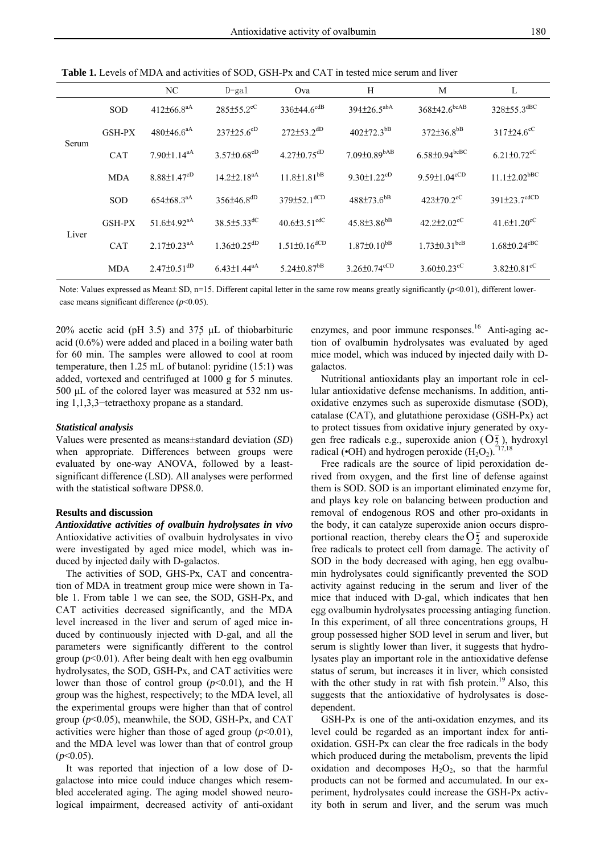**Table 1.** Levels of MDA and activities of SOD, GSH-Px and CAT in tested mice serum and liver

|       |               | NC                            | $D$ -gal                      | Ova                            | H                              | M                               | L                              |
|-------|---------------|-------------------------------|-------------------------------|--------------------------------|--------------------------------|---------------------------------|--------------------------------|
| Serum | <b>SOD</b>    | $412\pm66.8^{aA}$             | $285 \pm 55.2^{\circ}$ C      | $336\pm44.6^{cdB}$             | $394\pm26.5^{abA}$             | $368 \pm 42.6$ <sub>bcAB</sub>  | 328±55.3dBC                    |
|       | <b>GSH-PX</b> | 480±46.6 <sup>aA</sup>        | $237\pm25.6^{eD}$             | $272 \pm 53.2$ <sup>dD</sup>   | $402{\pm}72.3^{bB}$            | $372\pm36.8^{bB}$               | $317\pm24.6^{\circ}$           |
|       | <b>CAT</b>    | $7.90 \pm 1.14$ <sup>aA</sup> | $3.57 \pm 0.68$ eD            | $4.27 \pm 0.75$ <sup>dD</sup>  | $7.09 \pm 0.89$ <sup>bAB</sup> | $6.58 \pm 0.94$ <sub>bcBC</sub> | $6.21 \pm 0.72$ <sup>cC</sup>  |
|       | <b>MDA</b>    | $8.88 \pm 1.47$ <sup>cD</sup> | $14.2 \pm 2.18$ <sup>aA</sup> | $11.8 \pm 1.81$ <sup>bB</sup>  | 9.30 $\pm$ 1.22 <sup>cD</sup>  | $9.59 \pm 1.04$ <sup>cCD</sup>  | $11.1 \pm 2.02$ <sup>bBC</sup> |
| Liver | <b>SOD</b>    | $654\pm68.3^{aA}$             | $356\pm46.8$ <sup>dD</sup>    | $379 \pm 52.1$ <sup>dCD</sup>  | $488\pm73.6^{bB}$              | $423 \pm 70.2$ <sup>cC</sup>    | $391\pm23.7$ <sup>cdCD</sup>   |
|       | <b>GSH-PX</b> | 51.6 $\pm$ 4.92 $^{aA}$       | $38.5 \pm 5.33$ <sup>dC</sup> | $40.6 \pm 3.51^{\text{cdC}}$   | $45.8\pm3.86^{bB}$             | $42.2 \pm 2.02$ <sup>cC</sup>   | $41.6 \pm 1.20$ <sup>cC</sup>  |
|       | <b>CAT</b>    | $2.17\pm0.23^{aA}$            | $1.36 \pm 0.25$ <sup>dD</sup> | $1.51 \pm 0.16$ <sup>dCD</sup> | $1.87\pm0.10^{bB}$             | $1.73 \pm 0.31$ <sub>bcB</sub>  | $1.68 \pm 0.24$ <sup>cBC</sup> |
|       | <b>MDA</b>    | $2.47\pm0.51$ <sup>dD</sup>   | $6.43 \pm 1.44$ <sup>aA</sup> | $5.24 \pm 0.87$ <sup>bB</sup>  | $3.26 \pm 0.74^{\text{cCD}}$   | $3.60 \pm 0.23$ <sup>cC</sup>   | $3.82 \pm 0.81$ <sup>cC</sup>  |

Note: Values expressed as Mean± SD, n=15. Different capital letter in the same row means greatly significantly ( $p$ <0.01), different lowercase means significant difference (*p*<0.05).

20% acetic acid (pH 3.5) and 375 μL of thiobarbituric acid (0.6%) were added and placed in a boiling water bath for 60 min. The samples were allowed to cool at room temperature, then 1.25 mL of butanol: pyridine (15:1) was added, vortexed and centrifuged at 1000 g for 5 minutes. 500 μL of the colored layer was measured at 532 nm using 1,1,3,3−tetraethoxy propane as a standard.

#### *Statistical analysis*

Values were presented as means±standard deviation (*SD*) when appropriate. Differences between groups were evaluated by one-way ANOVA, followed by a leastsignificant difference (LSD). All analyses were performed with the statistical software DPS8.0.

#### **Results and discussion**

*Antioxidative activities of ovalbuin hydrolysates in vivo* Antioxidative activities of ovalbuin hydrolysates in vivo were investigated by aged mice model, which was induced by injected daily with D-galactos.

The activities of SOD, GHS-Px, CAT and concentration of MDA in treatment group mice were shown in Table 1. From table 1 we can see, the SOD, GSH-Px, and CAT activities decreased significantly, and the MDA level increased in the liver and serum of aged mice induced by continuously injected with D-gal, and all the parameters were significantly different to the control group  $(p<0.01)$ . After being dealt with hen egg ovalbumin hydrolysates, the SOD, GSH-Px, and CAT activities were lower than those of control group  $(p<0.01)$ , and the H group was the highest, respectively; to the MDA level, all the experimental groups were higher than that of control group (*p*<0.05), meanwhile, the SOD, GSH-Px, and CAT activities were higher than those of aged group  $(p<0.01)$ , and the MDA level was lower than that of control group  $(p<0.05)$ .

It was reported that injection of a low dose of Dgalactose into mice could induce changes which resembled accelerated aging. The aging model showed neurological impairment, decreased activity of anti-oxidant

enzymes, and poor immune responses.<sup>16</sup> Anti-aging action of ovalbumin hydrolysates was evaluated by aged mice model, which was induced by injected daily with Dgalactos.

 Nutritional antioxidants play an important role in cellular antioxidative defense mechanisms. In addition, antioxidative enzymes such as superoxide dismutase (SOD), catalase (CAT), and glutathione peroxidase (GSH-Px) act to protect tissues from oxidative injury generated by oxygen free radicals e.g., superoxide anion ( $\overline{O_2}$ ), hydroxyl radical (•OH) and hydrogen peroxide  $(H_2O_2)$ .

 Free radicals are the source of lipid peroxidation derived from oxygen, and the first line of defense against them is SOD. SOD is an important eliminated enzyme for, and plays key role on balancing between production and removal of endogenous ROS and other pro-oxidants in the body, it can catalyze superoxide anion occurs disproportional reaction, thereby clears the  $\overline{O_2^*}$  and superoxide free radicals to protect cell from damage. The activity of SOD in the body decreased with aging, hen egg ovalbumin hydrolysates could significantly prevented the SOD activity against reducing in the serum and liver of the mice that induced with D-gal, which indicates that hen egg ovalbumin hydrolysates processing antiaging function. In this experiment, of all three concentrations groups, H group possessed higher SOD level in serum and liver, but serum is slightly lower than liver, it suggests that hydrolysates play an important role in the antioxidative defense status of serum, but increases it in liver, which consisted with the other study in rat with fish protein.<sup>19</sup> Also, this suggests that the antioxidative of hydrolysates is dosedependent.

 GSH-Px is one of the anti-oxidation enzymes, and its level could be regarded as an important index for antioxidation. GSH-Px can clear the free radicals in the body which produced during the metabolism, prevents the lipid oxidation and decomposes  $H_2O_2$ , so that the harmful products can not be formed and accumulated. In our experiment, hydrolysates could increase the GSH-Px activity both in serum and liver, and the serum was much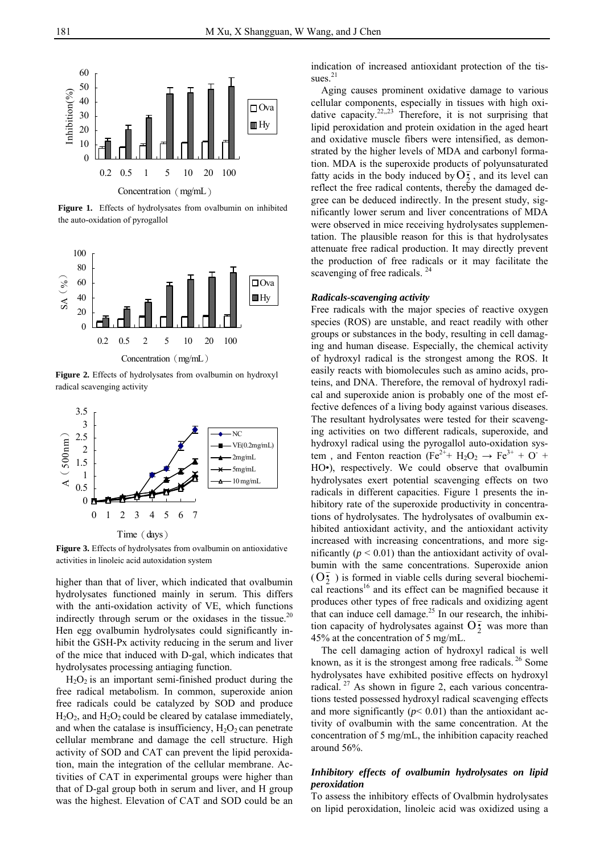

**Figure 1.** Effects of hydrolysates from ovalbumin on inhibited the auto-oxidation of pyrogallol



**Figure 2.** Effects of hydrolysates from ovalbumin on hydroxyl radical scavenging activity



**Figure 3.** Effects of hydrolysates from ovalbumin on antioxidative activities in linoleic acid autoxidation system

higher than that of liver, which indicated that ovalbumin hydrolysates functioned mainly in serum. This differs with the anti-oxidation activity of VE, which functions indirectly through serum or the oxidases in the tissue. $20$ Hen egg ovalbumin hydrolysates could significantly inhibit the GSH-Px activity reducing in the serum and liver of the mice that induced with D-gal, which indicates that hydrolysates processing antiaging function.

 $H_2O_2$  is an important semi-finished product during the free radical metabolism. In common, superoxide anion free radicals could be catalyzed by SOD and produce  $H_2O_2$ , and  $H_2O_2$  could be cleared by catalase immediately, and when the catalase is insufficiency,  $H_2O_2$  can penetrate cellular membrane and damage the cell structure. High activity of SOD and CAT can prevent the lipid peroxidation, main the integration of the cellular membrane. Activities of CAT in experimental groups were higher than that of D-gal group both in serum and liver, and H group was the highest. Elevation of CAT and SOD could be an

indication of increased antioxidant protection of the tissues $^{21}$ 

Aging causes prominent oxidative damage to various cellular components, especially in tissues with high oxidative capacity.<sup>22,,23</sup> Therefore, it is not surprising that lipid peroxidation and protein oxidation in the aged heart and oxidative muscle fibers were intensified, as demonstrated by the higher levels of MDA and carbonyl formation. MDA is the superoxide products of polyunsaturated fatty acids in the body induced by  $O_2^{\frac{1}{2}}$ , and its level can reflect the free radical contents, thereby the damaged degree can be deduced indirectly. In the present study, significantly lower serum and liver concentrations of MDA were observed in mice receiving hydrolysates supplementation. The plausible reason for this is that hydrolysates attenuate free radical production. It may directly prevent the production of free radicals or it may facilitate the scavenging of free radicals.<sup>24</sup>

#### *Radicals-scavenging activity*

Free radicals with the major species of reactive oxygen species (ROS) are unstable, and react readily with other groups or substances in the body, resulting in cell damaging and human disease. Especially, the chemical activity of hydroxyl radical is the strongest among the ROS. It easily reacts with biomolecules such as amino acids, proteins, and DNA. Therefore, the removal of hydroxyl radical and superoxide anion is probably one of the most effective defences of a living body against various diseases. The resultant hydrolysates were tested for their scavenging activities on two different radicals, superoxide, and hydroxyl radical using the pyrogallol auto-oxidation system, and Fenton reaction (Fe<sup>2+</sup>+ H<sub>2</sub>O<sub>2</sub>  $\rightarrow$  Fe<sup>3+</sup> + O<sup>+</sup> HO•), respectively. We could observe that ovalbumin hydrolysates exert potential scavenging effects on two radicals in different capacities. Figure 1 presents the inhibitory rate of the superoxide productivity in concentrations of hydrolysates. The hydrolysates of ovalbumin exhibited antioxidant activity, and the antioxidant activity increased with increasing concentrations, and more significantly  $(p < 0.01)$  than the antioxidant activity of ovalbumin with the same concentrations. Superoxide anion  $(\overline{O_2})$  is formed in viable cells during several biochemical reactions<sup>16</sup> and its effect can be magnified because it produces other types of free radicals and oxidizing agent that can induce cell damage.<sup>25</sup> In our research, the inhibition capacity of hydrolysates against  $O_2^+$  was more than 45% at the concentration of 5 mg/mL.

The cell damaging action of hydroxyl radical is well known, as it is the strongest among free radicals.<sup>26</sup> Some hydrolysates have exhibited positive effects on hydroxyl radical.<sup>27</sup> As shown in figure 2, each various concentrations tested possessed hydroxyl radical scavenging effects and more significantly  $(p< 0.01)$  than the antioxidant activity of ovalbumin with the same concentration. At the concentration of 5 mg/mL, the inhibition capacity reached around 56%.

# *Inhibitory effects of ovalbumin hydrolysates on lipid peroxidation*

To assess the inhibitory effects of Ovalbmin hydrolysates on lipid peroxidation, linoleic acid was oxidized using a